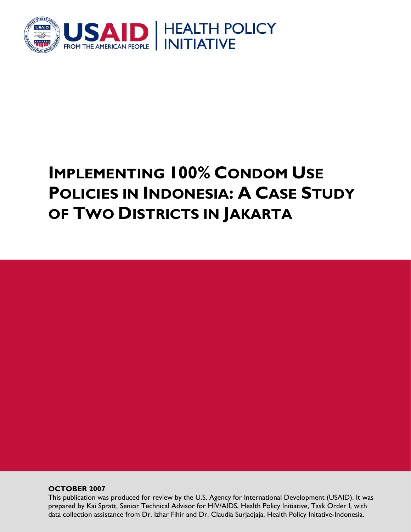

# **IMPLEMENTING 100% CONDOM USE POLICIES IN INDONESIA: A CASE STUDY OF TWO DISTRICTS IN JAKARTA**

**OCTOBER 2007** 

This publication was produced for review by the U.S. Agency for International Development (USAID). It was prepared by Kai Spratt, Senior Technical Advisor for HIV/AIDS, Health Policy Initiative, Task Order I, with data collection assistance from Dr. Izhar Fihir and Dr. Claudia Surjadjaja, Health Policy Initative-Indonesia.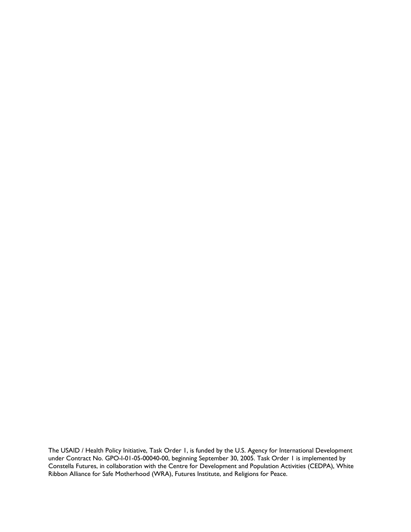The USAID / Health Policy Initiative, Task Order 1, is funded by the U.S. Agency for International Development under Contract No. GPO-I-01-05-00040-00, beginning September 30, 2005. Task Order 1 is implemented by Constella Futures, in collaboration with the Centre for Development and Population Activities (CEDPA), White Ribbon Alliance for Safe Motherhood (WRA), Futures Institute, and Religions for Peace.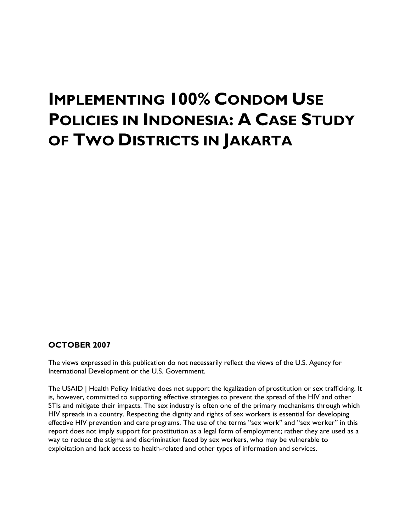# **IMPLEMENTING 100% CONDOM USE POLICIES IN INDONESIA: A CASE STUDY OF TWO DISTRICTS IN JAKARTA**

#### **OCTOBER 2007**

The views expressed in this publication do not necessarily reflect the views of the U.S. Agency for International Development or the U.S. Government.

The USAID | Health Policy Initiative does not support the legalization of prostitution or sex trafficking. It is, however, committed to supporting effective strategies to prevent the spread of the HIV and other STIs and mitigate their impacts. The sex industry is often one of the primary mechanisms through which HIV spreads in a country. Respecting the dignity and rights of sex workers is essential for developing effective HIV prevention and care programs. The use of the terms "sex work" and "sex worker" in this report does not imply support for prostitution as a legal form of employment; rather they are used as a way to reduce the stigma and discrimination faced by sex workers, who may be vulnerable to exploitation and lack access to health-related and other types of information and services.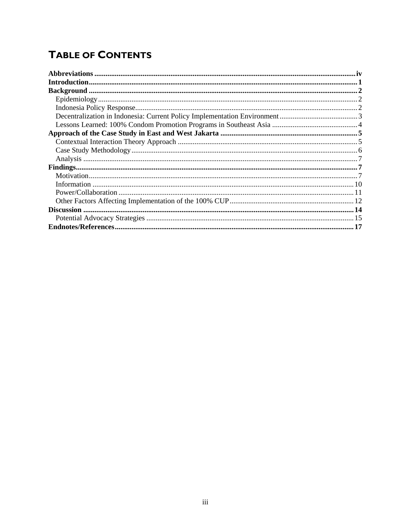# **TABLE OF CONTENTS**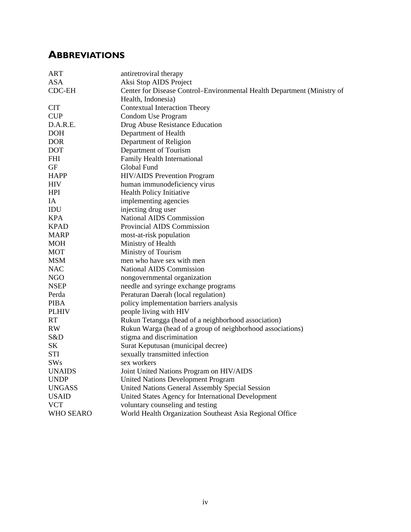# <span id="page-5-0"></span>**ABBREVIATIONS**

| <b>ART</b>       | antiretroviral therapy                                                  |
|------------------|-------------------------------------------------------------------------|
| <b>ASA</b>       | Aksi Stop AIDS Project                                                  |
| <b>CDC-EH</b>    | Center for Disease Control-Environmental Health Department (Ministry of |
|                  | Health, Indonesia)                                                      |
| <b>CIT</b>       | <b>Contextual Interaction Theory</b>                                    |
| <b>CUP</b>       | Condom Use Program                                                      |
| D.A.R.E.         | Drug Abuse Resistance Education                                         |
| <b>DOH</b>       | Department of Health                                                    |
| <b>DOR</b>       | Department of Religion                                                  |
| <b>DOT</b>       | Department of Tourism                                                   |
| <b>FHI</b>       | Family Health International                                             |
| <b>GF</b>        | Global Fund                                                             |
| <b>HAPP</b>      | <b>HIV/AIDS</b> Prevention Program                                      |
| <b>HIV</b>       | human immunodeficiency virus                                            |
| <b>HPI</b>       | <b>Health Policy Initiative</b>                                         |
| IA               | implementing agencies                                                   |
| IDU              | injecting drug user                                                     |
| <b>KPA</b>       | National AIDS Commission                                                |
| <b>KPAD</b>      | Provincial AIDS Commission                                              |
| <b>MARP</b>      | most-at-risk population                                                 |
| MOH              | Ministry of Health                                                      |
| <b>MOT</b>       | Ministry of Tourism                                                     |
| <b>MSM</b>       | men who have sex with men                                               |
| <b>NAC</b>       | <b>National AIDS Commission</b>                                         |
| NGO              | nongovernmental organization                                            |
| <b>NSEP</b>      | needle and syringe exchange programs                                    |
| Perda            | Peraturan Daerah (local regulation)                                     |
| <b>PIBA</b>      | policy implementation barriers analysis                                 |
| <b>PLHIV</b>     | people living with HIV                                                  |
| <b>RT</b>        | Rukun Tetangga (head of a neighborhood association)                     |
| <b>RW</b>        | Rukun Warga (head of a group of neighborhood associations)              |
| S&D              | stigma and discrimination                                               |
| SК               | Surat Keputusan (municipal decree)                                      |
| <b>STI</b>       | sexually transmitted infection                                          |
| <b>SWs</b>       | sex workers                                                             |
| <b>UNAIDS</b>    | Joint United Nations Program on HIV/AIDS                                |
| <b>UNDP</b>      | <b>United Nations Development Program</b>                               |
| <b>UNGASS</b>    | United Nations General Assembly Special Session                         |
| <b>USAID</b>     | United States Agency for International Development                      |
| <b>VCT</b>       | voluntary counseling and testing                                        |
| <b>WHO SEARO</b> | World Health Organization Southeast Asia Regional Office                |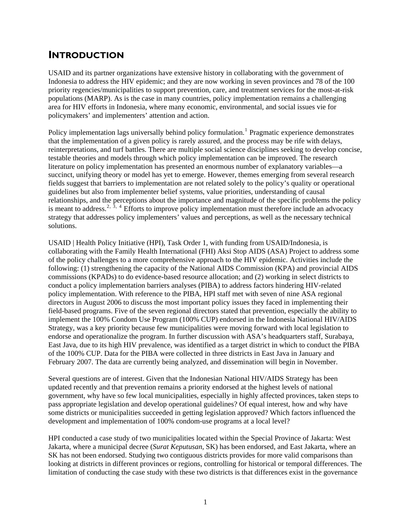## <span id="page-6-0"></span>**INTRODUCTION**

USAID and its partner organizations have extensive history in collaborating with the government of Indonesia to address the HIV epidemic; and they are now working in seven provinces and 78 of the 100 priority regencies/municipalities to support prevention, care, and treatment services for the most-at-risk populations (MARP). As is the case in many countries, policy implementation remains a challenging area for HIV efforts in Indonesia, where many economic, environmental, and social issues vie for policymakers' and implementers' attention and action.

Policy implementation lags universally behind policy formulation.<sup>[1](#page-22-1)</sup> Pragmatic experience demonstrates that the implementation of a given policy is rarely assured, and the process may be rife with delays, reinterpretations, and turf battles. There are multiple social science disciplines seeking to develop concise, testable theories and models through which policy implementation can be improved. The research literature on policy implementation has presented an enormous number of explanatory variables—a succinct, unifying theory or model has yet to emerge. However, themes emerging from several research fields suggest that barriers to implementation are not related solely to the policy's quality or operational guidelines but also from implementer belief systems, value priorities, understanding of causal relationships, and the perceptions about the importance and magnitude of the specific problems the policy is meant to address.<sup>[2](#page-22-2),  $\bar{3}$  $\bar{3}$  $\bar{3}$ ,  $\bar{4}$  $\bar{4}$  $\bar{4}$  Efforts to improve policy implementation must therefore include an advocacy</sup> strategy that addresses policy implementers' values and perceptions, as well as the necessary technical solutions.

USAID | Health Policy Initiative (HPI), Task Order 1, with funding from USAID/Indonesia, is collaborating with the Family Health International (FHI) Aksi Stop AIDS (ASA) Project to address some of the policy challenges to a more comprehensive approach to the HIV epidemic. Activities include the following: (1) strengthening the capacity of the National AIDS Commission (KPA) and provincial AIDS commissions (KPADs) to do evidence-based resource allocation; and (2) working in select districts to conduct a policy implementation barriers analyses (PIBA) to address factors hindering HIV-related policy implementation. With reference to the PIBA, HPI staff met with seven of nine ASA regional directors in August 2006 to discuss the most important policy issues they faced in implementing their field-based programs. Five of the seven regional directors stated that prevention, especially the ability to implement the 100% Condom Use Program (100% CUP) endorsed in the Indonesia National HIV/AIDS Strategy, was a key priority because few municipalities were moving forward with local legislation to endorse and operationalize the program. In further discussion with ASA's headquarters staff, Surabaya, East Java, due to its high HIV prevalence, was identified as a target district in which to conduct the PIBA of the 100% CUP. Data for the PIBA were collected in three districts in East Java in January and February 2007. The data are currently being analyzed, and dissemination will begin in November.

Several questions are of interest. Given that the Indonesian National HIV/AIDS Strategy has been updated recently and that prevention remains a priority endorsed at the highest levels of national government, why have so few local municipalities, especially in highly affected provinces, taken steps to pass appropriate legislation and develop operational guidelines? Of equal interest, how and why have some districts or municipalities succeeded in getting legislation approved? Which factors influenced the development and implementation of 100% condom-use programs at a local level?

HPI conducted a case study of two municipalities located within the Special Province of Jakarta: West Jakarta, where a municipal decree (*Surat Keputusan,* SK) has been endorsed, and East Jakarta, where an SK has not been endorsed. Studying two contiguous districts provides for more valid comparisons than looking at districts in different provinces or regions, controlling for historical or temporal differences. The limitation of conducting the case study with these two districts is that differences exist in the governance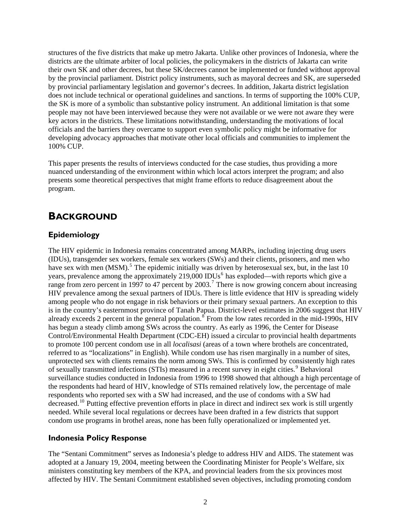<span id="page-7-0"></span>structures of the five districts that make up metro Jakarta. Unlike other provinces of Indonesia, where the districts are the ultimate arbiter of local policies, the policymakers in the districts of Jakarta can write their own SK and other decrees, but these SK/decrees cannot be implemented or funded without approval by the provincial parliament. District policy instruments, such as mayoral decrees and SK, are superseded by provincial parliamentary legislation and governor's decrees. In addition, Jakarta district legislation does not include technical or operational guidelines and sanctions. In terms of supporting the 100% CUP, the SK is more of a symbolic than substantive policy instrument. An additional limitation is that some people may not have been interviewed because they were not available or we were not aware they were key actors in the districts. These limitations notwithstanding, understanding the motivations of local officials and the barriers they overcame to support even symbolic policy might be informative for developing advocacy approaches that motivate other local officials and communities to implement the 100% CUP.

This paper presents the results of interviews conducted for the case studies, thus providing a more nuanced understanding of the environment within which local actors interpret the program; and also presents some theoretical perspectives that might frame efforts to reduce disagreement about the program.

### **BACKGROUND**

#### **Epidemiology**

The HIV epidemic in Indonesia remains concentrated among MARPs, including injecting drug users (IDUs), transgender sex workers, female sex workers (SWs) and their clients, prisoners, and men who have sex with men (MSM).<sup>[5](#page-22-2)</sup> The epidemic initially was driven by heterosexual sex, but, in the last 10 years, prevalence among the approximately 219,000 IDUs<sup>[6](#page-22-2)</sup> has exploded—with reports which give a range from zero percent in 199[7](#page-22-2) to 47 percent by  $2003$ .<sup>7</sup> There is now growing concern about increasing HIV prevalence among the sexual partners of IDUs. There is little evidence that HIV is spreading widely among people who do not engage in risk behaviors or their primary sexual partners. An exception to this is in the country's easternmost province of Tanah Papua. District-level estimates in 2006 suggest that HIV already exceeds 2 percent in the general population.<sup>[8](#page-22-2)</sup> From the low rates recorded in the mid-1990s, HIV has begun a steady climb among SWs across the country. As early as 1996, the Center for Disease Control/Environmental Health Department (CDC-EH) issued a circular to provincial health departments to promote 100 percent condom use in all *localisasi* (areas of a town where brothels are concentrated, referred to as "localizations" in English). While condom use has risen marginally in a number of sites, unprotected sex with clients remains the norm among SWs. This is confirmed by consistently high rates of sexually transmitted infections (STIs) measured in a recent survey in eight cities.<sup>[9](#page-22-2)</sup> Behavioral surveillance studies conducted in Indonesia from 1996 to 1998 showed that although a high percentage of the respondents had heard of HIV, knowledge of STIs remained relatively low, the percentage of male respondents who reported sex with a SW had increased, and the use of condoms with a SW had decreased.[10](#page-22-2) Putting effective prevention efforts in place in direct and indirect sex work is still urgently needed. While several local regulations or decrees have been drafted in a few districts that support condom use programs in brothel areas, none has been fully operationalized or implemented yet.

#### **Indonesia Policy Response**

The "Sentani Commitment" serves as Indonesia's pledge to address HIV and AIDS. The statement was adopted at a January 19, 2004, meeting between the Coordinating Minister for People's Welfare, six ministers constituting key members of the KPA, and provincial leaders from the six provinces most affected by HIV. The Sentani Commitment established seven objectives, including promoting condom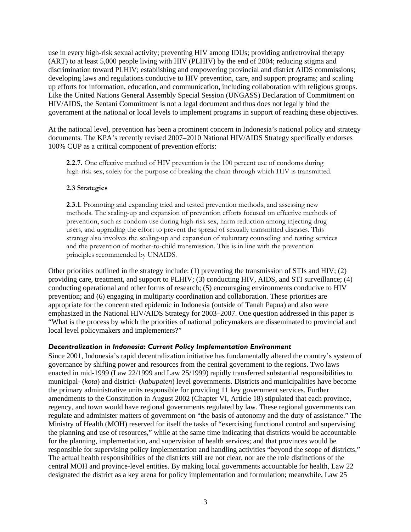<span id="page-8-0"></span>use in every high-risk sexual activity; preventing HIV among IDUs; providing antiretroviral therapy (ART) to at least 5,000 people living with HIV (PLHIV) by the end of 2004; reducing stigma and discrimination toward PLHIV; establishing and empowering provincial and district AIDS commissions; developing laws and regulations conducive to HIV prevention, care, and support programs; and scaling up efforts for information, education, and communication, including collaboration with religious groups. Like the United Nations General Assembly Special Session (UNGASS) Declaration of Commitment on HIV/AIDS, the Sentani Commitment is not a legal document and thus does not legally bind the government at the national or local levels to implement programs in support of reaching these objectives.

At the national level, prevention has been a prominent concern in Indonesia's national policy and strategy documents. The KPA's recently revised 2007–2010 National HIV/AIDS Strategy specifically endorses 100% CUP as a critical component of prevention efforts:

**2.2.7.** One effective method of HIV prevention is the 100 percent use of condoms during high-risk sex, solely for the purpose of breaking the chain through which HIV is transmitted.

#### **2.3 Strategies**

**2.3.1**. Promoting and expanding tried and tested prevention methods, and assessing new methods. The scaling-up and expansion of prevention efforts focused on effective methods of prevention, such as condom use during high-risk sex, harm reduction among injecting drug users, and upgrading the effort to prevent the spread of sexually transmitted diseases. This strategy also involves the scaling-up and expansion of voluntary counseling and testing services and the prevention of mother-to-child transmission. This is in line with the prevention principles recommended by UNAIDS.

Other priorities outlined in the strategy include: (1) preventing the transmission of STIs and HIV; (2) providing care, treatment, and support to PLHIV; (3) conducting HIV, AIDS, and STI surveillance; (4) conducting operational and other forms of research; (5) encouraging environments conducive to HIV prevention; and (6) engaging in multiparty coordination and collaboration. These priorities are appropriate for the concentrated epidemic in Indonesia (outside of Tanah Papua) and also were emphasized in the National HIV/AIDS Strategy for 2003–2007. One question addressed in this paper is "What is the process by which the priorities of national policymakers are disseminated to provincial and local level policymakers and implementers?"

#### *Decentralization in Indonesia: Current Policy Implementation Environment*

Since 2001, Indonesia's rapid decentralization initiative has fundamentally altered the country's system of governance by shifting power and resources from the central government to the regions. Two laws enacted in mid-1999 (Law 22/1999 and Law 25/1999) rapidly transferred substantial responsibilities to municipal- (*kota*) and district- (*kabupaten*) level governments. Districts and municipalities have become the primary administrative units responsible for providing 11 key government services. Further amendments to the Constitution in August 2002 (Chapter VI, Article 18) stipulated that each province, regency, and town would have regional governments regulated by law. These regional governments can regulate and administer matters of government on "the basis of autonomy and the duty of assistance." The Ministry of Health (MOH) reserved for itself the tasks of "exercising functional control and supervising the planning and use of resources," while at the same time indicating that districts would be accountable for the planning, implementation, and supervision of health services; and that provinces would be responsible for supervising policy implementation and handling activities "beyond the scope of districts." The actual health responsibilities of the districts still are not clear, nor are the role distinctions of the central MOH and province-level entities. By making local governments accountable for health, Law 22 designated the district as a key arena for policy implementation and formulation; meanwhile, Law 25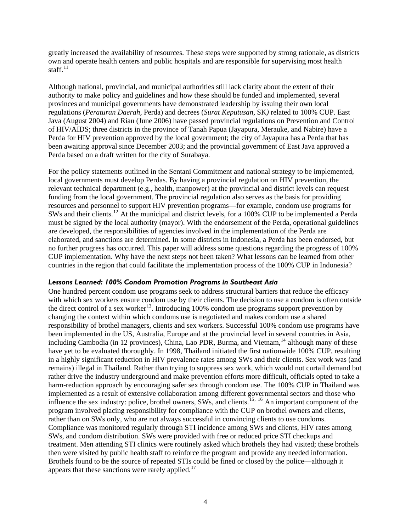<span id="page-9-0"></span>greatly increased the availability of resources. These steps were supported by strong rationale, as districts own and operate health centers and public hospitals and are responsible for supervising most health staff $11$ 

Although national, provincial, and municipal authorities still lack clarity about the extent of their authority to make policy and guidelines and how these should be funded and implemented, several provinces and municipal governments have demonstrated leadership by issuing their own local regulations (*Peraturan Daerah,* Perda) and decrees (*Surat Keputusan,* SK*)* related to 100% CUP. East Java (August 2004) and Riau (June 2006) have passed provincial regulations on Prevention and Control of HIV/AIDS; three districts in the province of Tanah Papua (Jayapura, Merauke, and Nabire) have a Perda for HIV prevention approved by the local government; the city of Jayapura has a Perda that has been awaiting approval since December 2003; and the provincial government of East Java approved a Perda based on a draft written for the city of Surabaya.

For the policy statements outlined in the Sentani Commitment and national strategy to be implemented, local governments must develop Perdas. By having a provincial regulation on HIV prevention, the relevant technical department (e.g., health, manpower) at the provincial and district levels can request funding from the local government. The provincial regulation also serves as the basis for providing resources and personnel to support HIV prevention programs—for example, condom use programs for SWs and their clients.<sup>[12](#page-22-2)</sup> At the municipal and district levels, for a 100% CUP to be implemented a Perda must be signed by the local authority (mayor). With the endorsement of the Perda, operational guidelines are developed, the responsibilities of agencies involved in the implementation of the Perda are elaborated, and sanctions are determined. In some districts in Indonesia, a Perda has been endorsed, but no further progress has occurred. This paper will address some questions regarding the progress of 100% CUP implementation. Why have the next steps not been taken? What lessons can be learned from other countries in the region that could facilitate the implementation process of the 100% CUP in Indonesia?

#### *Lessons Learned: 100% Condom Promotion Programs in Southeast Asia*

One hundred percent condom use programs seek to address structural barriers that reduce the efficacy with which sex workers ensure condom use by their clients. The decision to use a condom is often outside the direct control of a sex worker<sup>[13](#page-22-2)</sup>. Introducing 100% condom use programs support prevention by changing the context within which condoms use is negotiated and makes condom use a shared responsibility of brothel managers, clients and sex workers. Successful 100% condom use programs have been implemented in the US, Australia, Europe and at the provincial level in several countries in Asia, including Cambodia (in 12 provinces), China, Lao PDR, Burma, and Vietnam,  $^{14}$  $^{14}$  $^{14}$  although many of these have yet to be evaluated thoroughly. In 1998, Thailand initiated the first nationwide 100% CUP, resulting in a highly significant reduction in HIV prevalence rates among SWs and their clients. Sex work was (and remains) illegal in Thailand. Rather than trying to suppress sex work, which would not curtail demand but rather drive the industry underground and make prevention efforts more difficult, officials opted to take a harm-reduction approach by encouraging safer sex through condom use. The 100% CUP in Thailand was implemented as a result of extensive collaboration among different governmental sectors and those who influence the sex industry: police, brothel owners, SWs, and clients.<sup>[15](#page-22-2), [16](#page-23-0)</sup> An important component of the program involved placing responsibility for compliance with the CUP on brothel owners and clients, rather than on SWs only, who are not always successful in convincing clients to use condoms. Compliance was monitored regularly through STI incidence among SWs and clients, HIV rates among SWs, and condom distribution. SWs were provided with free or reduced price STI checkups and treatment. Men attending STI clinics were routinely asked which brothels they had visited; these brothels then were visited by public health staff to reinforce the program and provide any needed information. Brothels found to be the source of repeated STIs could be fined or closed by the police—although it appears that these sanctions were rarely applied. $17$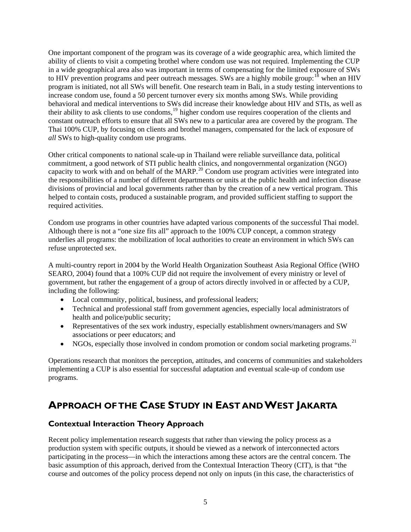<span id="page-10-0"></span>One important component of the program was its coverage of a wide geographic area, which limited the ability of clients to visit a competing brothel where condom use was not required. Implementing the CUP in a wide geographical area also was important in terms of compensating for the limited exposure of SWs to HIV prevention programs and peer outreach messages. SWs are a highly mobile group:<sup>[18](#page-23-0)</sup> when an HIV program is initiated, not all SWs will benefit. One research team in Bali, in a study testing interventions to increase condom use, found a 50 percent turnover every six months among SWs. While providing behavioral and medical interventions to SWs did increase their knowledge about HIV and STIs, as well as their ability to ask clients to use condoms,[19](#page-23-0) higher condom use requires cooperation of the clients and constant outreach efforts to ensure that all SWs new to a particular area are covered by the program. The Thai 100% CUP, by focusing on clients and brothel managers, compensated for the lack of exposure of *all* SWs to high-quality condom use programs.

Other critical components to national scale-up in Thailand were reliable surveillance data, political commitment, a good network of STI public health clinics, and nongovernmental organization (NGO) capacity to work with and on behalf of the MARP.<sup>[20](#page-23-0)</sup> Condom use program activities were integrated into the responsibilities of a number of different departments or units at the public health and infection disease divisions of provincial and local governments rather than by the creation of a new vertical program. This helped to contain costs, produced a sustainable program, and provided sufficient staffing to support the required activities.

Condom use programs in other countries have adapted various components of the successful Thai model. Although there is not a "one size fits all" approach to the 100% CUP concept, a common strategy underlies all programs: the mobilization of local authorities to create an environment in which SWs can refuse unprotected sex.

A multi-country report in 2004 by the World Health Organization Southeast Asia Regional Office (WHO SEARO, 2004) found that a 100% CUP did not require the involvement of every ministry or level of government, but rather the engagement of a group of actors directly involved in or affected by a CUP, including the following:

- Local community, political, business, and professional leaders;
- Technical and professional staff from government agencies, especially local administrators of health and police/public security;
- Representatives of the sex work industry, especially establishment owners/managers and SW associations or peer educators; and
- NGOs, especially those involved in condom promotion or condom social marketing programs.<sup>[21](#page-23-0)</sup>

Operations research that monitors the perception, attitudes, and concerns of communities and stakeholders implementing a CUP is also essential for successful adaptation and eventual scale-up of condom use programs.

# **APPROACH OF THE CASE STUDY IN EAST AND WEST JAKARTA**

#### **Contextual Interaction Theory Approach**

Recent policy implementation research suggests that rather than viewing the policy process as a production system with specific outputs, it should be viewed as a network of interconnected actors participating in the process—in which the interactions among these actors are the central concern. The basic assumption of this approach, derived from the Contextual Interaction Theory (CIT), is that "the course and outcomes of the policy process depend not only on inputs (in this case, the characteristics of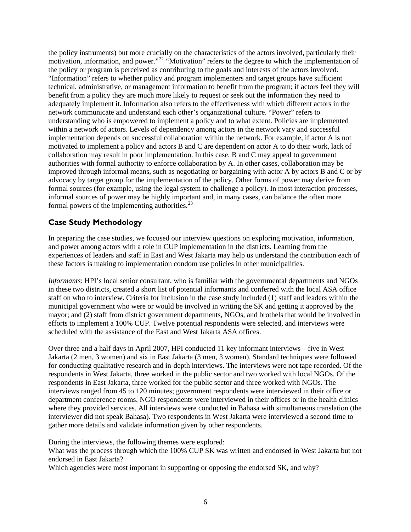<span id="page-11-0"></span>the policy instruments) but more crucially on the characteristics of the actors involved, particularly their motivation, information, and power."[22](#page-23-0) "Motivation" refers to the degree to which the implementation of the policy or program is perceived as contributing to the goals and interests of the actors involved. "Information" refers to whether policy and program implementers and target groups have sufficient technical, administrative, or management information to benefit from the program; if actors feel they will benefit from a policy they are much more likely to request or seek out the information they need to adequately implement it. Information also refers to the effectiveness with which different actors in the network communicate and understand each other's organizational culture. "Power" refers to understanding who is empowered to implement a policy and to what extent. Policies are implemented within a network of actors. Levels of dependency among actors in the network vary and successful implementation depends on successful collaboration within the network. For example, if actor A is not motivated to implement a policy and actors B and C are dependent on actor A to do their work, lack of collaboration may result in poor implementation. In this case, B and C may appeal to government authorities with formal authority to enforce collaboration by A. In other cases, collaboration may be improved through informal means, such as negotiating or bargaining with actor A by actors B and C or by advocacy by target group for the implementation of the policy. Other forms of power may derive from formal sources (for example, using the legal system to challenge a policy). In most interaction processes, informal sources of power may be highly important and, in many cases, can balance the often more formal powers of the implementing authorities. $^{23}$  $^{23}$  $^{23}$ 

#### **Case Study Methodology**

In preparing the case studies, we focused our interview questions on exploring motivation, information, and power among actors with a role in CUP implementation in the districts. Learning from the experiences of leaders and staff in East and West Jakarta may help us understand the contribution each of these factors is making to implementation condom use policies in other municipalities.

*Informants*: HPI's local senior consultant, who is familiar with the governmental departments and NGOs in these two districts, created a short list of potential informants and conferred with the local ASA office staff on who to interview. Criteria for inclusion in the case study included (1) staff and leaders within the municipal government who were or would be involved in writing the SK and getting it approved by the mayor; and (2) staff from district government departments, NGOs, and brothels that would be involved in efforts to implement a 100% CUP. Twelve potential respondents were selected, and interviews were scheduled with the assistance of the East and West Jakarta ASA offices.

Over three and a half days in April 2007, HPI conducted 11 key informant interviews—five in West Jakarta (2 men, 3 women) and six in East Jakarta (3 men, 3 women). Standard techniques were followed for conducting qualitative research and in-depth interviews. The interviews were not tape recorded. Of the respondents in West Jakarta, three worked in the public sector and two worked with local NGOs. Of the respondents in East Jakarta, three worked for the public sector and three worked with NGOs. The interviews ranged from 45 to 120 minutes; government respondents were interviewed in their office or department conference rooms. NGO respondents were interviewed in their offices or in the health clinics where they provided services. All interviews were conducted in Bahasa with simultaneous translation (the interviewer did not speak Bahasa). Two respondents in West Jakarta were interviewed a second time to gather more details and validate information given by other respondents.

During the interviews, the following themes were explored:

What was the process through which the 100% CUP SK was written and endorsed in West Jakarta but not endorsed in East Jakarta?

Which agencies were most important in supporting or opposing the endorsed SK, and why?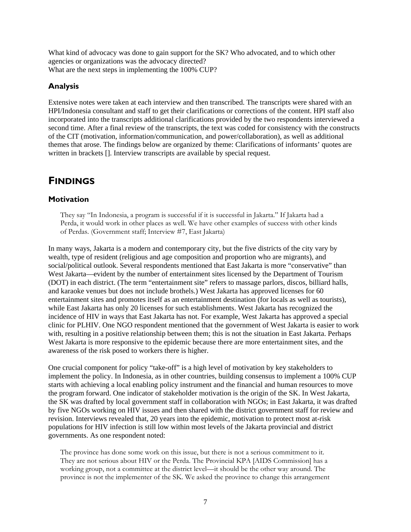<span id="page-12-0"></span>What kind of advocacy was done to gain support for the SK? Who advocated, and to which other agencies or organizations was the advocacy directed? What are the next steps in implementing the 100% CUP?

#### **Analysis**

Extensive notes were taken at each interview and then transcribed. The transcripts were shared with an HPI/Indonesia consultant and staff to get their clarifications or corrections of the content. HPI staff also incorporated into the transcripts additional clarifications provided by the two respondents interviewed a second time. After a final review of the transcripts, the text was coded for consistency with the constructs of the CIT (motivation, information/communication, and power/collaboration), as well as additional themes that arose. The findings below are organized by theme: Clarifications of informants' quotes are written in brackets []. Interview transcripts are available by special request.

# **FINDINGS**

#### **Motivation**

They say "In Indonesia, a program is successful if it is successful in Jakarta." If Jakarta had a Perda, it would work in other places as well. We have other examples of success with other kinds of Perdas. (Government staff; Interview #7, East Jakarta)

In many ways, Jakarta is a modern and contemporary city, but the five districts of the city vary by wealth, type of resident (religious and age composition and proportion who are migrants), and social/political outlook. Several respondents mentioned that East Jakarta is more "conservative" than West Jakarta—evident by the number of entertainment sites licensed by the Department of Tourism (DOT) in each district. (The term "entertainment site" refers to massage parlors, discos, billiard halls, and karaoke venues but does not include brothels.) West Jakarta has approved licenses for 60 entertainment sites and promotes itself as an entertainment destination (for locals as well as tourists), while East Jakarta has only 20 licenses for such establishments. West Jakarta has recognized the incidence of HIV in ways that East Jakarta has not. For example, West Jakarta has approved a special clinic for PLHIV. One NGO respondent mentioned that the government of West Jakarta is easier to work with, resulting in a positive relationship between them; this is not the situation in East Jakarta. Perhaps West Jakarta is more responsive to the epidemic because there are more entertainment sites, and the awareness of the risk posed to workers there is higher.

One crucial component for policy "take-off" is a high level of motivation by key stakeholders to implement the policy. In Indonesia, as in other countries, building consensus to implement a 100% CUP starts with achieving a local enabling policy instrument and the financial and human resources to move the program forward. One indicator of stakeholder motivation is the origin of the SK. In West Jakarta, the SK was drafted by local government staff in collaboration with NGOs; in East Jakarta, it was drafted by five NGOs working on HIV issues and then shared with the district government staff for review and revision. Interviews revealed that, 20 years into the epidemic, motivation to protect most at-risk populations for HIV infection is still low within most levels of the Jakarta provincial and district governments. As one respondent noted:

The province has done some work on this issue, but there is not a serious commitment to it. They are not serious about HIV or the Perda. The Provincial KPA [AIDS Commission] has a working group, not a committee at the district level—it should be the other way around. The province is not the implementer of the SK. We asked the province to change this arrangement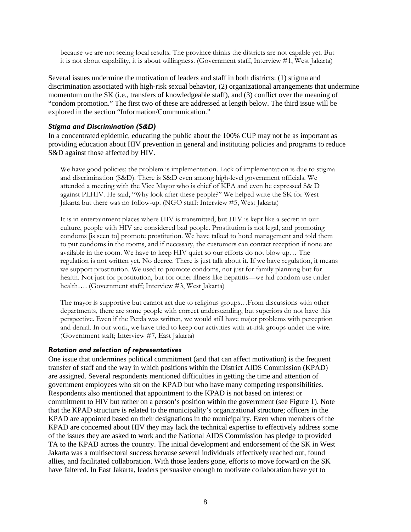because we are not seeing local results. The province thinks the districts are not capable yet. But it is not about capability, it is about willingness. (Government staff, Interview #1, West Jakarta)

Several issues undermine the motivation of leaders and staff in both districts: (1) stigma and discrimination associated with high-risk sexual behavior, (2) organizational arrangements that undermine momentum on the SK (i.e., transfers of knowledgeable staff), and (3) conflict over the meaning of "condom promotion." The first two of these are addressed at length below. The third issue will be explored in the section "Information/Communication."

#### *Stigma and Discrimination (S&D)*

In a concentrated epidemic, educating the public about the 100% CUP may not be as important as providing education about HIV prevention in general and instituting policies and programs to reduce S&D against those affected by HIV.

We have good policies; the problem is implementation. Lack of implementation is due to stigma and discrimination (S&D). There is S&D even among high-level government officials. We attended a meeting with the Vice Mayor who is chief of KPA and even he expressed S& D against PLHIV. He said, "Why look after these people?" We helped write the SK for West Jakarta but there was no follow-up. (NGO staff: Interview #5, West Jakarta)

It is in entertainment places where HIV is transmitted, but HIV is kept like a secret; in our culture, people with HIV are considered bad people. Prostitution is not legal, and promoting condoms [is seen to] promote prostitution. We have talked to hotel management and told them to put condoms in the rooms, and if necessary, the customers can contact reception if none are available in the room. We have to keep HIV quiet so our efforts do not blow up… The regulation is not written yet. No decree. There is just talk about it. If we have regulation, it means we support prostitution. We used to promote condoms, not just for family planning but for health. Not just for prostitution, but for other illness like hepatitis—we hid condom use under health…. (Government staff; Interview #3, West Jakarta)

The mayor is supportive but cannot act due to religious groups…From discussions with other departments, there are some people with correct understanding, but superiors do not have this perspective. Even if the Perda was written, we would still have major problems with perception and denial. In our work, we have tried to keep our activities with at-risk groups under the wire. (Government staff; Interview #7, East Jakarta)

#### *Rotation and selection of representatives*

One issue that undermines political commitment (and that can affect motivation) is the frequent transfer of staff and the way in which positions within the District AIDS Commission (KPAD) are assigned. Several respondents mentioned difficulties in getting the time and attention of government employees who sit on the KPAD but who have many competing responsibilities. Respondents also mentioned that appointment to the KPAD is not based on interest or commitment to HIV but rather on a person's position within the government (see Figure 1). Note that the KPAD structure is related to the municipality's organizational structure; officers in the KPAD are appointed based on their designations in the municipality. Even when members of the KPAD are concerned about HIV they may lack the technical expertise to effectively address some of the issues they are asked to work and the National AIDS Commission has pledge to provided TA to the KPAD across the country. The initial development and endorsement of the SK in West Jakarta was a multisectoral success because several individuals effectively reached out, found allies, and facilitated collaboration. With those leaders gone, efforts to move forward on the SK have faltered. In East Jakarta, leaders persuasive enough to motivate collaboration have yet to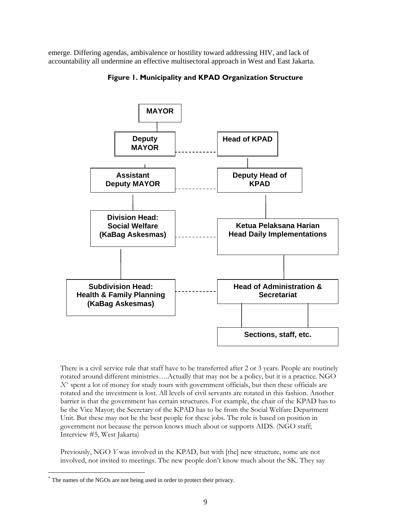emerge. Differing agendas, ambivalence or hostility toward addressing HIV, and lack of accountability all undermine an effective multisectoral approach in West and East Jakarta.



**Figure 1. Municipality and KPAD Organization Structure** 

There is a civil service rule that staff have to be transferred after 2 or 3 years. People are routinely rotated around different ministries….Actually that may not be a policy, but it is a practice*.* NGO *X[\\*](#page-14-0)* spent a lot of money for study tours with government officials, but then these officials are rotated and the investment is lost. All levels of civil servants are rotated in this fashion. Another barrier is that the government has certain structures. For example, the chair of the KPAD has to be the Vice Mayor; the Secretary of the KPAD has to be from the Social Welfare Department Unit. But these may not be the best people for these jobs. The role is based on position in government not because the person knows much about or supports AIDS. (NGO staff; Interview #5, West Jakarta)

Previously, NGO *Y* was involved in the KPAD, but with [the] new structure, some are not involved, not invited to meetings. The new people don't know much about the SK. They say

l

<span id="page-14-0"></span><sup>\*</sup> The names of the NGOs are not being used in order to protect their privacy.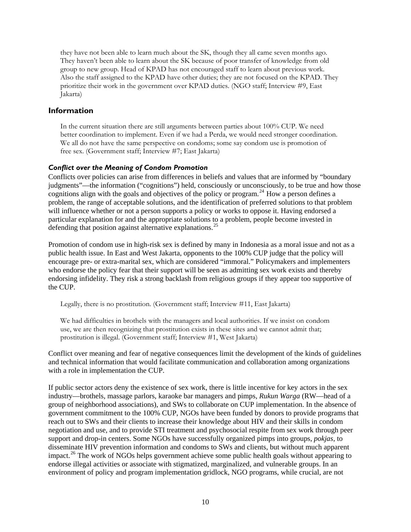<span id="page-15-0"></span>they have not been able to learn much about the SK, though they all came seven months ago. They haven't been able to learn about the SK because of poor transfer of knowledge from old group to new group. Head of KPAD has not encouraged staff to learn about previous work. Also the staff assigned to the KPAD have other duties; they are not focused on the KPAD. They prioritize their work in the government over KPAD duties. (NGO staff; Interview #9, East Jakarta)

#### **Information**

In the current situation there are still arguments between parties about 100% CUP. We need better coordination to implement. Even if we had a Perda, we would need stronger coordination. We all do not have the same perspective on condoms; some say condom use is promotion of free sex. (Government staff; Interview #7; East Jakarta)

#### *Conflict over the Meaning of Condom Promotion*

Conflicts over policies can arise from differences in beliefs and values that are informed by "boundary judgments"—the information ("cognitions") held, consciously or unconsciously, to be true and how those cognitions align with the goals and objectives of the policy or program.<sup>[24](#page-23-0)</sup> How a person defines a problem, the range of acceptable solutions, and the identification of preferred solutions to that problem will influence whether or not a person supports a policy or works to oppose it. Having endorsed a particular explanation for and the appropriate solutions to a problem, people become invested in defending that position against alternative explanations.<sup>[25](#page-23-0)</sup>

Promotion of condom use in high-risk sex is defined by many in Indonesia as a moral issue and not as a public health issue. In East and West Jakarta, opponents to the 100% CUP judge that the policy will encourage pre- or extra-marital sex, which are considered "immoral." Policymakers and implementers who endorse the policy fear that their support will be seen as admitting sex work exists and thereby endorsing infidelity. They risk a strong backlash from religious groups if they appear too supportive of the CUP.

Legally, there is no prostitution. (Government staff; Interview #11, East Jakarta)

We had difficulties in brothels with the managers and local authorities. If we insist on condom use, we are then recognizing that prostitution exists in these sites and we cannot admit that; prostitution is illegal. (Government staff; Interview #1, West Jakarta)

Conflict over meaning and fear of negative consequences limit the development of the kinds of guidelines and technical information that would facilitate communication and collaboration among organizations with a role in implementation the CUP.

If public sector actors deny the existence of sex work, there is little incentive for key actors in the sex industry—brothels, massage parlors, karaoke bar managers and pimps, *Rukun Warga* (RW—head of a group of neighborhood associations), and SWs to collaborate on CUP implementation. In the absence of government commitment to the 100% CUP, NGOs have been funded by donors to provide programs that reach out to SWs and their clients to increase their knowledge about HIV and their skills in condom negotiation and use, and to provide STI treatment and psychosocial respite from sex work through peer support and drop-in centers. Some NGOs have successfully organized pimps into groups, *pokjas,* to disseminate HIV prevention information and condoms to SWs and clients, but without much apparent impact.<sup>[26](#page-23-0)</sup> The work of NGOs helps government achieve some public health goals without appearing to endorse illegal activities or associate with stigmatized, marginalized, and vulnerable groups. In an environment of policy and program implementation gridlock, NGO programs, while crucial, are not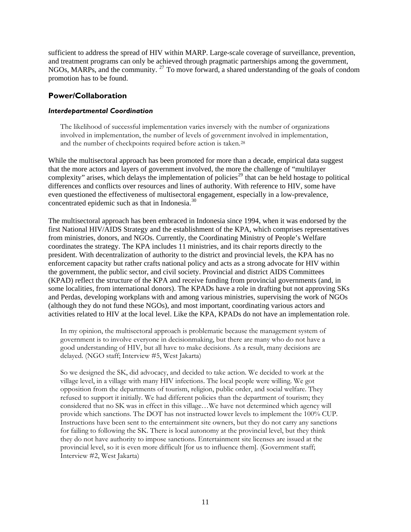<span id="page-16-0"></span>sufficient to address the spread of HIV within MARP. Large-scale coverage of surveillance, prevention, and treatment programs can only be achieved through pragmatic partnerships among the government, NGOs, MARPs, and the community.<sup>[27](#page-23-0)</sup> To move forward, a shared understanding of the goals of condom promotion has to be found.

#### **Power/Collaboration**

#### *Interdepartmental Coordination*

The likelihood of successful implementation varies inversely with the number of organizations involved in implementation, the number of levels of government involved in implementation, and the number of checkpoints required before action is taken.[28](#page-23-0)

While the multisectoral approach has been promoted for more than a decade, empirical data suggest that the more actors and layers of government involved, the more the challenge of "multilayer complexity" arises, which delays the implementation of policies<sup>[29](#page-23-0)</sup> that can be held hostage to political differences and conflicts over resources and lines of authority. With reference to HIV, some have even questioned the effectiveness of multisectoral engagement, especially in a low-prevalence, concentrated epidemic such as that in Indonesia.<sup>[30](#page-23-0)</sup>

The multisectoral approach has been embraced in Indonesia since 1994, when it was endorsed by the first National HIV/AIDS Strategy and the establishment of the KPA, which comprises representatives from ministries, donors, and NGOs. Currently, the Coordinating Ministry of People's Welfare coordinates the strategy. The KPA includes 11 ministries, and its chair reports directly to the president. With decentralization of authority to the district and provincial levels, the KPA has no enforcement capacity but rather crafts national policy and acts as a strong advocate for HIV within the government, the public sector, and civil society. Provincial and district AIDS Committees (KPAD) reflect the structure of the KPA and receive funding from provincial governments (and, in some localities, from international donors). The KPADs have a role in drafting but not approving SKs and Perdas, developing workplans with and among various ministries, supervising the work of NGOs (although they do not fund these NGOs), and most important, coordinating various actors and activities related to HIV at the local level. Like the KPA, KPADs do not have an implementation role.

In my opinion, the multisectoral approach is problematic because the management system of government is to involve everyone in decisionmaking, but there are many who do not have a good understanding of HIV, but all have to make decisions. As a result, many decisions are delayed. (NGO staff; Interview #5, West Jakarta)

So we designed the SK, did advocacy, and decided to take action. We decided to work at the village level, in a village with many HIV infections. The local people were willing. We got opposition from the departments of tourism, religion, public order, and social welfare. They refused to support it initially. We had different policies than the department of tourism; they considered that no SK was in effect in this village…We have not determined which agency will provide which sanctions. The DOT has not instructed lower levels to implement the 100% CUP. Instructions have been sent to the entertainment site owners, but they do not carry any sanctions for failing to following the SK. There is local autonomy at the provincial level, but they think they do not have authority to impose sanctions. Entertainment site licenses are issued at the provincial level, so it is even more difficult [for us to influence them]. (Government staff; Interview #2, West Jakarta)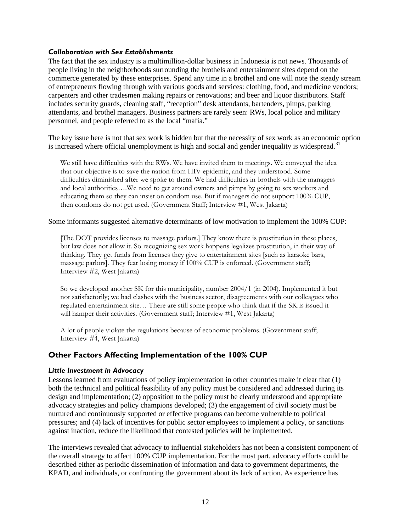#### <span id="page-17-0"></span>*Collaboration with Sex Establishments*

The fact that the sex industry is a multimillion-dollar business in Indonesia is not news. Thousands of people living in the neighborhoods surrounding the brothels and entertainment sites depend on the commerce generated by these enterprises. Spend any time in a brothel and one will note the steady stream of entrepreneurs flowing through with various goods and services: clothing, food, and medicine vendors; carpenters and other tradesmen making repairs or renovations; and beer and liquor distributors. Staff includes security guards, cleaning staff, "reception" desk attendants, bartenders, pimps, parking attendants, and brothel managers. Business partners are rarely seen: RWs, local police and military personnel, and people referred to as the local "mafia."

The key issue here is not that sex work is hidden but that the necessity of sex work as an economic option is increased where official unemployment is high and social and gender inequality is widespread.<sup>[31](#page-23-0)</sup>

We still have difficulties with the RWs. We have invited them to meetings. We conveyed the idea that our objective is to save the nation from HIV epidemic, and they understood. Some difficulties diminished after we spoke to them. We had difficulties in brothels with the managers and local authorities….We need to get around owners and pimps by going to sex workers and educating them so they can insist on condom use. But if managers do not support 100% CUP, then condoms do not get used. (Government Staff; Interview #1, West Jakarta)

#### Some informants suggested alternative determinants of low motivation to implement the 100% CUP:

[The DOT provides licenses to massage parlors.] They know there is prostitution in these places, but law does not allow it. So recognizing sex work happens legalizes prostitution, in their way of thinking. They get funds from licenses they give to entertainment sites [such as karaoke bars, massage parlors]. They fear losing money if 100% CUP is enforced. (Government staff; Interview #2, West Jakarta)

So we developed another SK for this municipality, number 2004/1 (in 2004). Implemented it but not satisfactorily; we had clashes with the business sector, disagreements with our colleagues who regulated entertainment site… There are still some people who think that if the SK is issued it will hamper their activities. (Government staff; Interview #1, West Jakarta)

A lot of people violate the regulations because of economic problems. (Government staff; Interview #4, West Jakarta)

#### **Other Factors Affecting Implementation of the 100% CUP**

#### *Little Investment in Advocacy*

Lessons learned from evaluations of policy implementation in other countries make it clear that (1) both the technical and political feasibility of any policy must be considered and addressed during its design and implementation; (2) opposition to the policy must be clearly understood and appropriate advocacy strategies and policy champions developed; (3) the engagement of civil society must be nurtured and continuously supported or effective programs can become vulnerable to political pressures; and (4) lack of incentives for public sector employees to implement a policy, or sanctions against inaction, reduce the likelihood that contested policies will be implemented.

The interviews revealed that advocacy to influential stakeholders has not been a consistent component of the overall strategy to affect 100% CUP implementation. For the most part, advocacy efforts could be described either as periodic dissemination of information and data to government departments, the KPAD, and individuals, or confronting the government about its lack of action. As experience has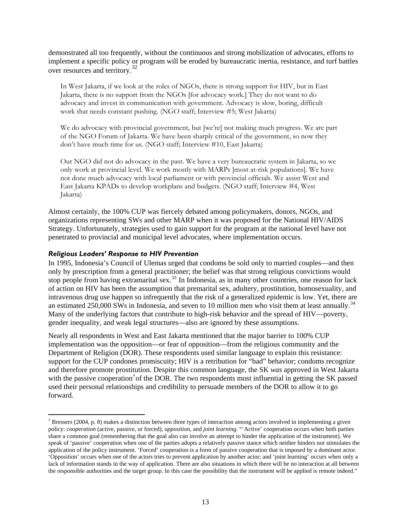demonstrated all too frequently, without the continuous and strong mobilization of advocates, efforts to implement a specific policy or program will be eroded by bureaucratic inertia, resistance, and turf battles over resources and territory.[32](#page-24-0)

In West Jakarta, if we look at the roles of NGOs, there is strong support for HIV, but in East Jakarta, there is no support from the NGOs [for advocacy work.] They do not want to do advocacy and invest in communication with government. Advocacy is slow, boring, difficult work that needs constant pushing. (NGO staff; Interview #5; West Jakarta)

We do advocacy with provincial government, but [we're] not making much progress. We are part of the NGO Forum of Jakarta. We have been sharply critical of the government, so now they don't have much time for us. (NGO staff; Interview #10, East Jakarta)

Our NGO did not do advocacy in the past. We have a very bureaucratic system in Jakarta, so we only work at provincial level. We work mostly with MARPs [most at-risk populations]. We have not done much advocacy with local parliament or with provincial officials. We assist West and East Jakarta KPADs to develop workplans and budgets. (NGO staff; Interview #4, West Jakarta)

Almost certainly, the 100% CUP was fiercely debated among policymakers, donors, NGOs, and organizations representing SWs and other MARP when it was proposed for the National HIV/AIDS Strategy. Unfortunately, strategies used to gain support for the program at the national level have not penetrated to provincial and municipal level advocates, where implementation occurs.

#### *Religious Leaders' Response to HIV Prevention*

1

In 1995, Indonesia's Council of Ulemas urged that condoms be sold only to married couples—and then only by prescription from a general practitioner; the belief was that strong religious convictions would stop people from having extramarital sex.<sup>[33](#page-24-0)</sup> In Indonesia, as in many other countries, one reason for lack of action on HIV has been the assumption that premarital sex, adultery, prostitution, homosexuality, and intravenous drug use happen so infrequently that the risk of a generalized epidemic is low. Yet, there are an estimated 250,000 SWs in Indonesia, and seven to 10 million men who visit them at least annually.<sup>[34](#page-24-0)</sup> Many of the underlying factors that contribute to high-risk behavior and the spread of HIV—poverty, gender inequality, and weak legal structures—also are ignored by these assumptions.

Nearly all respondents in West and East Jakarta mentioned that the major barrier to 100% CUP implementation was the opposition—or fear of opposition—from the religious community and the Department of Religion (DOR). These respondents used similar language to explain this resistance: support for the CUP condones promiscuity; HIV is a retribution for "bad" behavior; condoms recognize and therefore promote prostitution. Despite this common language, the SK *was* approved in West Jakarta with the passive cooperation<sup>[†](#page-18-0)</sup> of the DOR. The two respondents most influential in getting the SK passed used their personal relationships and credibility to persuade members of the DOR to allow it to go forward.

<span id="page-18-0"></span><sup>&</sup>lt;sup>†</sup> Bressers (2004, p. 8) makes a distinction between three types of interaction among actors involved in implementing a given policy: *cooperation* (active, passive, or forced), *opposition*, and *joint learning*. "'Active' cooperation occurs when both parties share a common goal (remembering that the goal also can involve an attempt to hinder the application of the instrument). We speak of 'passive' cooperation when one of the parties adopts a relatively passive stance which neither hinders nor stimulates the application of the policy instrument. 'Forced' cooperation is a form of passive cooperation that is imposed by a dominant actor. 'Opposition' occurs when one of the actors tries to prevent application by another actor; and 'joint learning' occurs when only a lack of information stands in the way of application. There are also situations in which there will be no interaction at all between the responsible authorities and the target group. In this case the possibility that the instrument will be applied is remote indeed."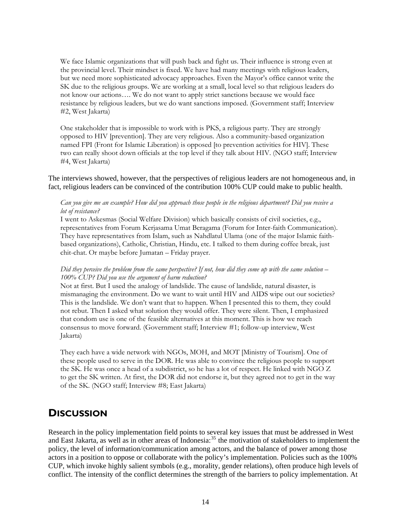<span id="page-19-0"></span>We face Islamic organizations that will push back and fight us. Their influence is strong even at the provincial level. Their mindset is fixed. We have had many meetings with religious leaders, but we need more sophisticated advocacy approaches. Even the Mayor's office cannot write the SK due to the religious groups. We are working at a small, local level so that religious leaders do not know our actions…. We do not want to apply strict sanctions because we would face resistance by religious leaders, but we do want sanctions imposed. (Government staff; Interview #2, West Jakarta)

One stakeholder that is impossible to work with is PKS, a religious party. They are strongly opposed to HIV [prevention]. They are very religious. Also a community-based organization named FPI (Front for Islamic Liberation) is opposed [to prevention activities for HIV]. These two can really shoot down officials at the top level if they talk about HIV. (NGO staff; Interview #4, West Jakarta)

The interviews showed, however, that the perspectives of religious leaders are not homogeneous and, in fact, religious leaders can be convinced of the contribution 100% CUP could make to public health.

#### *Can you give me an example? How did you approach those people in the religious department? Did you receive a lot of resistance?*

I went to Askesmas (Social Welfare Division) which basically consists of civil societies, e.g., representatives from Forum Kerjasama Umat Beragama (Forum for Inter-faith Communication). They have representatives from Islam, such as Nahdlatul Ulama (one of the major Islamic faithbased organizations), Catholic, Christian, Hindu, etc. I talked to them during coffee break, just chit-chat. Or maybe before Jumatan – Friday prayer.

#### *Did they perceive the problem from the same perspective? If not, how did they come up with the same solution – 100% CUP? Did you use the argument of harm reduction?*

Not at first. But I used the analogy of landslide. The cause of landslide, natural disaster, is mismanaging the environment. Do we want to wait until HIV and AIDS wipe out our societies? This is the landslide. We don't want that to happen. When I presented this to them, they could not rebut. Then I asked what solution they would offer. They were silent. Then, I emphasized that condom use is one of the feasible alternatives at this moment. This is how we reach consensus to move forward. (Government staff; Interview #1; follow-up interview, West Jakarta)

They each have a wide network with NGOs, MOH, and MOT [Ministry of Tourism]. One of these people used to serve in the DOR. He was able to convince the religious people to support the SK. He was once a head of a subdistrict, so he has a lot of respect. He linked with NGO Z to get the SK written. At first, the DOR did not endorse it, but they agreed not to get in the way of the SK. (NGO staff; Interview #8; East Jakarta)

# **DISCUSSION**

Research in the policy implementation field points to several key issues that must be addressed in West and East Jakarta, as well as in other areas of Indonesia:<sup>[35](#page-24-0)</sup> the motivation of stakeholders to implement the policy, the level of information/communication among actors, and the balance of power among those actors in a position to oppose or collaborate with the policy's implementation. Policies such as the 100% CUP, which invoke highly salient symbols (e.g., morality, gender relations), often produce high levels of conflict. The intensity of the conflict determines the strength of the barriers to policy implementation. At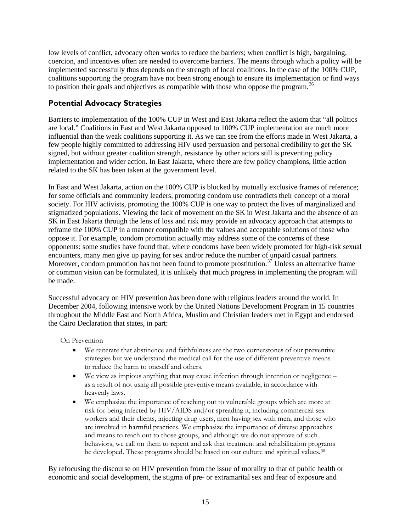<span id="page-20-0"></span>low levels of conflict, advocacy often works to reduce the barriers; when conflict is high, bargaining, coercion, and incentives often are needed to overcome barriers. The means through which a policy will be implemented successfully thus depends on the strength of local coalitions. In the case of the 100% CUP, coalitions supporting the program have not been strong enough to ensure its implementation or find ways to position their goals and objectives as compatible with those who oppose the program.<sup>[36](#page-24-0)</sup>

#### **Potential Advocacy Strategies**

Barriers to implementation of the 100% CUP in West and East Jakarta reflect the axiom that "all politics are local." Coalitions in East and West Jakarta opposed to 100% CUP implementation are much more influential than the weak coalitions supporting it. As we can see from the efforts made in West Jakarta, a few people highly committed to addressing HIV used persuasion and personal credibility to get the SK signed, but without greater coalition strength, resistance by other actors still is preventing policy implementation and wider action. In East Jakarta, where there are few policy champions, little action related to the SK has been taken at the government level.

In East and West Jakarta, action on the 100% CUP is blocked by mutually exclusive frames of reference; for some officials and community leaders, promoting condom use contradicts their concept of a moral society. For HIV activists, promoting the 100% CUP is one way to protect the lives of marginalized and stigmatized populations. Viewing the lack of movement on the SK in West Jakarta and the absence of an SK in East Jakarta through the lens of loss and risk may provide an advocacy approach that attempts to reframe the 100% CUP in a manner compatible with the values and acceptable solutions of those who oppose it. For example, condom promotion actually may address some of the concerns of these opponents: some studies have found that, where condoms have been widely promoted for high-risk sexual encounters, many men give up paying for sex and/or reduce the number of unpaid casual partners. Moreover, condom promotion has not been found to promote prostitution.<sup>[37](#page-24-0)</sup> Unless an alternative frame or common vision can be formulated, it is unlikely that much progress in implementing the program will be made.

Successful advocacy on HIV prevention *has* been done with religious leaders around the world. In December 2004, following intensive work by the United Nations Development Program in 15 countries throughout the Middle East and North Africa, Muslim and Christian leaders met in Egypt and endorsed the Cairo Declaration that states, in part:

On Prevention

- We reiterate that abstinence and faithfulness are the two cornerstones of our preventive strategies but we understand the medical call for the use of different preventive means to reduce the harm to oneself and others.
- We view as impious anything that may cause infection through intention or negligence as a result of not using all possible preventive means available, in accordance with heavenly laws.
- We emphasize the importance of reaching out to vulnerable groups which are more at risk for being infected by HIV/AIDS and/or spreading it, including commercial sex workers and their clients, injecting drug users, men having sex with men, and those who are involved in harmful practices. We emphasize the importance of diverse approaches and means to reach out to those groups, and although we do not approve of such behaviors, we call on them to repent and ask that treatment and rehabilitation programs be developed. These programs should be based on our culture and spiritual values.[38](#page-24-0)

By refocusing the discourse on HIV prevention from the issue of morality to that of public health or economic and social development, the stigma of pre- or extramarital sex and fear of exposure and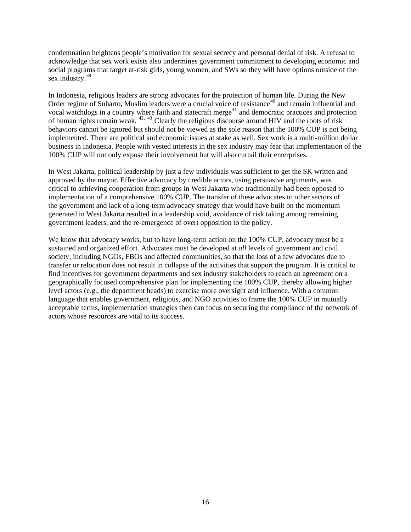condemnation heightens people's motivation for sexual secrecy and personal denial of risk. A refusal to acknowledge that sex work exists also undermines government commitment to developing economic and social programs that target at-risk girls, young women, and SWs so they will have options outside of the sex industry.<sup>[39](#page-24-0)</sup>

In Indonesia, religious leaders are strong advocates for the protection of human life. During the New Order regime of Suharto, Muslim leaders were a crucial voice of resistance<sup>[40](#page-24-0)</sup> and remain influential and vocal watchdogs in a country where faith and statecraft merge<sup>[41](#page-24-0)</sup> and democratic practices and protection of human rights remain weak. [42](#page-24-0), [43](#page-24-0) Clearly the religious discourse around HIV and the roots of risk behaviors cannot be ignored but should not be viewed as the sole reason that the 100% CUP is not being implemented. There are political and economic issues at stake as well. Sex work is a multi-million dollar business in Indonesia. People with vested interests in the sex industry may fear that implementation of the 100% CUP will not only expose their involvement but will also curtail their enterprises.

In West Jakarta, political leadership by just a few individuals was sufficient to get the SK written and approved by the mayor. Effective advocacy by credible actors, using persuasive arguments, was critical to achieving cooperation from groups in West Jakarta who traditionally had been opposed to implementation of a comprehensive 100% CUP. The transfer of these advocates to other sectors of the government and lack of a long-term advocacy strategy that would have built on the momentum generated in West Jakarta resulted in a leadership void, avoidance of risk taking among remaining government leaders, and the re-emergence of overt opposition to the policy.

We know that advocacy works, but to have long-term action on the 100% CUP, advocacy must be a sustained and organized effort. Advocates must be developed at *all* levels of government and civil society, including NGOs, FBOs and affected communities, so that the loss of a few advocates due to transfer or relocation does not result in collapse of the activities that support the program. It is critical to find incentives for government departments and sex industry stakeholders to reach an agreement on a geographically focused comprehensive plan for implementing the 100% CUP, thereby allowing higher level actors (e.g., the department heads) to exercise more oversight and influence. With a common language that enables government, religious, and NGO activities to frame the 100% CUP in mutually acceptable terms, implementation strategies then can focus on securing the compliance of the network of actors whose resources are vital to its success.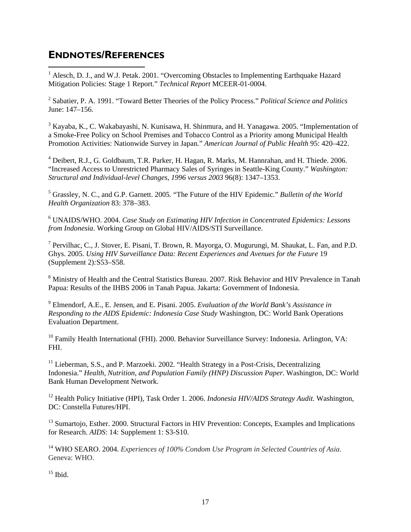# <span id="page-22-2"></span><span id="page-22-0"></span>**ENDNOTES/REFERENCES**

<span id="page-22-1"></span><sup>1</sup> Alesch, D. J., and W.J. Petak. 2001. "Overcoming Obstacles to Implementing Earthquake Hazard Mitigation Policies: Stage 1 Report." *Technical Report* MCEER-01-0004.

2 Sabatier, P. A. 1991. "Toward Better Theories of the Policy Process." *Political Science and Politics* June: 147–156.

<sup>3</sup> Kayaba, K., C. Wakabayashi, N. Kunisawa, H. Shinmura, and H. Yanagawa. 2005. "Implementation of a Smoke-Free Policy on School Premises and Tobacco Control as a Priority among Municipal Health Promotion Activities: Nationwide Survey in Japan*.*" *American Journal of Public Health* 95: 420–422.

<sup>4</sup> Deibert, R.J., G. Goldbaum, T.R. Parker, H. Hagan, R. Marks, M. Hannrahan, and H. Thiede. 2006. "Increased Access to Unrestricted Pharmacy Sales of Syringes in Seattle-King County." *Washington: Structural and Individual-level Changes, 1996 versus 2003* 96(8): 1347–1353.

5 Grassley, N. C., and G.P. Garnett. 2005*.* "The Future of the HIV Epidemic*.*" *Bulletin of the World Health Organization* 83: 378–383.

6 UNAIDS/WHO. 2004. *Case Study on Estimating HIV Infection in Concentrated Epidemics: Lessons from Indonesia*. Working Group on Global HIV/AIDS/STI Surveillance.

<sup>7</sup> Pervilhac, C., J. Stover, E. Pisani, T. Brown, R. Mayorga, O. Mugurungi, M. Shaukat, L. Fan, and P.D. Ghys. 2005. *Using HIV Surveillance Data: Recent Experiences and Avenues for the Future* 19 (Supplement 2)*:*S53–S58.

<sup>8</sup> Ministry of Health and the Central Statistics Bureau. 2007. Risk Behavior and HIV Prevalence in Tanah Papua: Results of the IHBS 2006 in Tanah Papua. Jakarta: Government of Indonesia.

9 Elmendorf, A.E., E. Jensen, and E. Pisani. 2005. *Evaluation of the World Bank's Assistance in Responding to the AIDS Epidemic: Indonesia Case Study* Washington, DC: World Bank Operations Evaluation Department.

 $10$  Family Health International (FHI). 2000. Behavior Surveillance Survey: Indonesia. Arlington, VA: FHI.

 $11$  Lieberman, S.S., and P. Marzoeki. 2002. "Health Strategy in a Post-Crisis, Decentralizing Indonesia." *Health, Nutrition, and Population Family (HNP) Discussion Paper*. Washington, DC: World Bank Human Development Network.

12 Health Policy Initiative (HPI), Task Order 1. 2006. *Indonesia HIV/AIDS Strategy Audit.* Washington, DC: Constella Futures/HPI.

<sup>13</sup> Sumartojo, Esther. 2000. Structural Factors in HIV Prevention: Concepts, Examples and Implications for Research. *AIDS*: 14: Supplement 1: S3-S10.

14 WHO SEARO. 2004. *Experiences of 100% Condom Use Program in Selected Countries of Asia.* Geneva: WHO.

 $15$  Ibid.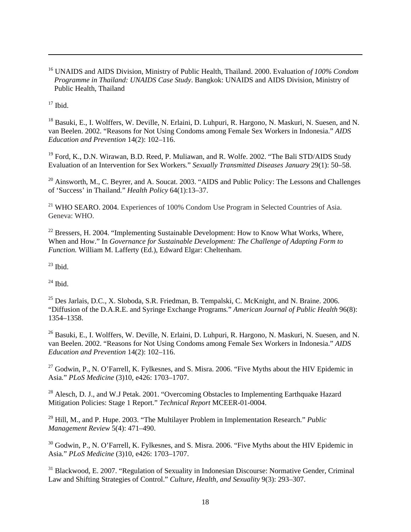16 UNAIDS and AIDS Division, Ministry of Public Health, Thailand. 2000. Evaluation *of 100% Condom Programme in Thailand: UNAIDS Case Study*. Bangkok: UNAIDS and AIDS Division, Ministry of Public Health, Thailand

 $17$  Ibid.

<span id="page-23-0"></span>1

<sup>18</sup> Basuki, E., I. Wolffers, W. Deville, N. Erlaini, D. Luhpuri, R. Hargono, N. Maskuri, N. Suesen, and N. van Beelen. 2002. "Reasons for Not Using Condoms among Female Sex Workers in Indonesia." *AIDS Education and Prevention* 14(2): 102–116.

<sup>19</sup> Ford, K., D.N. Wirawan, B.D. Reed, P. Muliawan, and R. Wolfe. 2002. "The Bali STD/AIDS Study Evaluation of an Intervention for Sex Workers*.*" *Sexually Transmitted Diseases January* 29(1): 50–58.

<sup>20</sup> Ainsworth, M., C. Beyrer, and A. Soucat. 2003. "AIDS and Public Policy: The Lessons and Challenges of 'Success' in Thailand*.*" *[Health Policy](javascript:AL_get(this,%20)* 64(1):13–37.

<sup>21</sup> WHO SEARO. 2004. Experiences of 100% Condom Use Program in Selected Countries of Asia. Geneva: WHO.

 $22$  Bressers, H. 2004. "Implementing Sustainable Development: How to Know What Works, Where, When and How." In *Governance for Sustainable Development: The Challenge of Adapting Form to Function.* William M. Lafferty (Ed.), Edward Elgar: Cheltenham.

 $23$  Ibid.

 $^{24}$  Ibid.

25 Des Jarlais, D.C., X. Sloboda, S.R. Friedman, B. Tempalski, C. McKnight, and N. Braine. 2006. "Diffusion of the D.A.R.E. and Syringe Exchange Programs*.*" *American Journal of Public Health* 96(8): 1354–1358.

<sup>26</sup> Basuki, E., I. Wolffers, W. Deville, N. Erlaini, D. Luhpuri, R. Hargono, N. Maskuri, N. Suesen, and N. van Beelen. 2002. "Reasons for Not Using Condoms among Female Sex Workers in Indonesia." *AIDS Education and Prevention* 14(2): 102–116.

 $27$  Godwin, P., N. O'Farrell, K. Fylkesnes, and S. Misra. 2006. "Five Myths about the HIV Epidemic in Asia*.*" *PLoS Medicine* (3)10, e426: 1703–1707.

<sup>28</sup> Alesch, D. J., and W.J Petak. 2001. "Overcoming Obstacles to Implementing Earthquake Hazard Mitigation Policies: Stage 1 Report." *Technical Report* MCEER-01-0004.

29 Hill, M., and P. Hupe. 2003. "The Multilayer Problem in Implementation Research*.*" *Public Management Review* 5(4): 471–490.

<sup>30</sup> Godwin, P., N. O'Farrell, K. Fylkesnes, and S. Misra. 2006. "Five Myths about the HIV Epidemic in Asia*.*" *PLoS Medicine* (3)10, e426: 1703–1707.

<sup>31</sup> Blackwood, E. 2007. "Regulation of Sexuality in Indonesian Discourse: Normative Gender, Criminal Law and Shifting Strategies of Control." *Culture, Health, and Sexuality* 9(3): 293–307.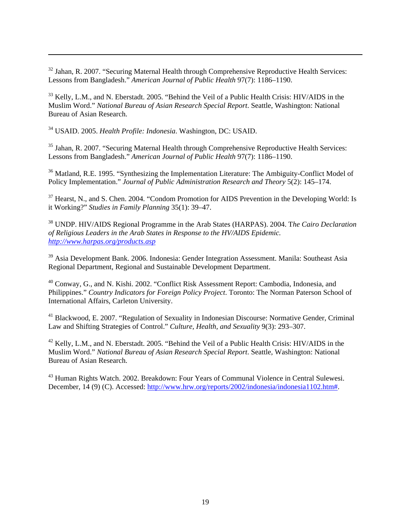$32$  Jahan, R. 2007. "Securing Maternal Health through Comprehensive Reproductive Health Services: Lessons from Bangladesh." *American Journal of Public Health* 97(7): 1186–1190.

<sup>33</sup> Kelly, L.M., and N. Eberstadt. 2005. "Behind the Veil of a Public Health Crisis: HIV/AIDS in the Muslim Word." *National Bureau of Asian Research Special Report*. Seattle, Washington: National Bureau of Asian Research.

34 USAID. 2005. *Health Profile: Indonesia*. Washington, DC: USAID.

<span id="page-24-0"></span>1

<sup>35</sup> Jahan, R. 2007. "Securing Maternal Health through Comprehensive Reproductive Health Services: Lessons from Bangladesh." *American Journal of Public Health* 97(7): 1186–1190.

<sup>36</sup> Matland, R.E. 1995. "Synthesizing the Implementation Literature: The Ambiguity-Conflict Model of Policy Implementation." *Journal of Public Administration Research and Theory* 5(2): 145–174.

<sup>37</sup> Hearst, N., and S. Chen. 2004. "Condom Promotion for AIDS Prevention in the Developing World: Is it Working?" *Studies in Family Planning* 35(1): 39–47.

38 UNDP. HIV/AIDS Regional Programme in the Arab States (HARPAS). 2004. T*he Cairo Declaration of Religious Leaders in the Arab States in Response to the HV/AIDS Epidemic. <http://www.harpas.org/products.asp>*

39 Asia Development Bank. 2006. Indonesia: Gender Integration Assessment. Manila: Southeast Asia Regional Department, Regional and Sustainable Development Department.

40 Conway, G., and N. Kishi. 2002. "Conflict Risk Assessment Report: Cambodia, Indonesia, and Philippines." *Country Indicators for Foreign Policy Project*. Toronto: The Norman Paterson School of International Affairs, Carleton University.

41 Blackwood, E. 2007. "Regulation of Sexuality in Indonesian Discourse: Normative Gender, Criminal Law and Shifting Strategies of Control." *Culture, Health, and Sexuality* 9(3): 293–307.

<sup>42</sup> Kelly, L.M., and N. Eberstadt. 2005. "Behind the Veil of a Public Health Crisis: HIV/AIDS in the Muslim Word." *National Bureau of Asian Research Special Report*. Seattle, Washington: National Bureau of Asian Research.

<sup>43</sup> Human Rights Watch. 2002. Breakdown: Four Years of Communal Violence in Central Sulewesi. December, 14 (9) (C). Accessed: [http://www.hrw.org/reports/2002/indonesia/indonesia1102.htm#](http://www.hrw.org/reports/2002/indonesia/indonesia1102.htm).